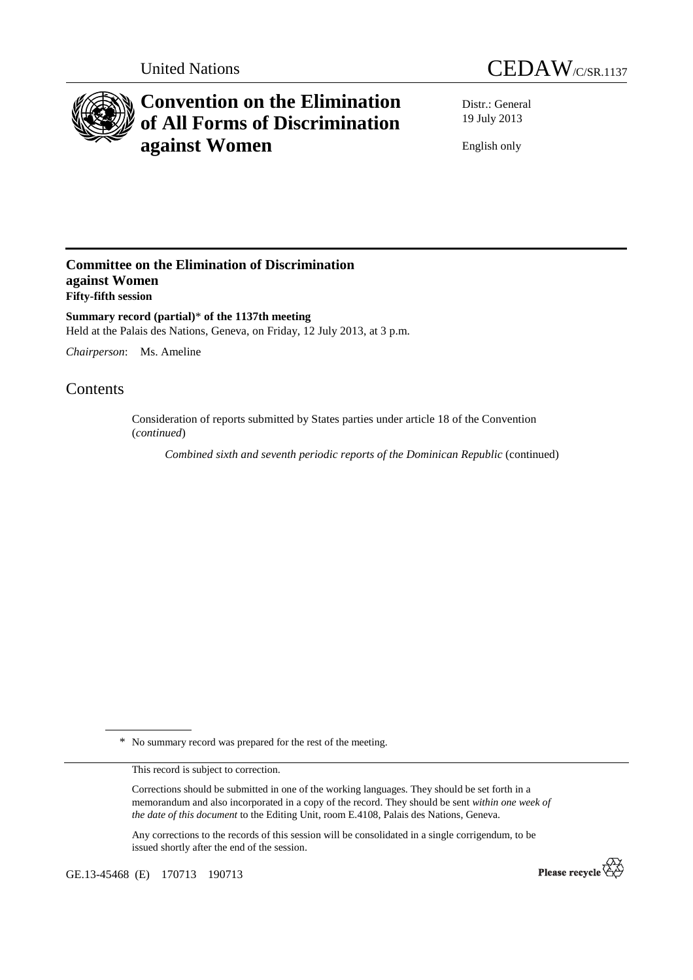



# **Convention on the Elimination of All Forms of Discrimination against Women**

Distr.: General 19 July 2013

English only

# **Committee on the Elimination of Discrimination against Women Fifty-fifth session**

**Summary record (partial)**\* **of the 1137th meeting**  Held at the Palais des Nations, Geneva, on Friday, 12 July 2013, at 3 p.m.

*Chairperson*: Ms. Ameline

# Contents

Consideration of reports submitted by States parties under article 18 of the Convention (*continued*)

*Combined sixth and seventh periodic reports of the Dominican Republic* (continued)

\* No summary record was prepared for the rest of the meeting.

This record is subject to correction.

Corrections should be submitted in one of the working languages. They should be set forth in a memorandum and also incorporated in a copy of the record. They should be sent *within one week of the date of this document* to the Editing Unit, room E.4108, Palais des Nations, Geneva.

Any corrections to the records of this session will be consolidated in a single corrigendum, to be issued shortly after the end of the session.

GE.13-45468 (E) 170713 190713

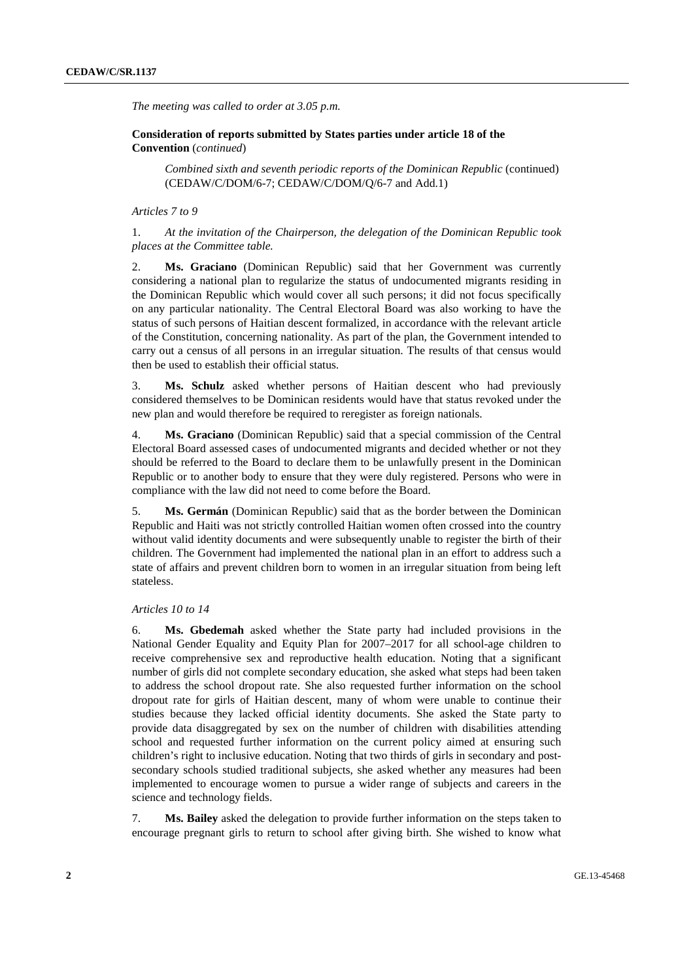*The meeting was called to order at 3.05 p.m.* 

# **Consideration of reports submitted by States parties under article 18 of the Convention** (*continued*)

*Combined sixth and seventh periodic reports of the Dominican Republic* (continued) (CEDAW/C/DOM/6-7; CEDAW/C/DOM/Q/6-7 and Add.1)

#### *Articles 7 to 9*

## 1. *At the invitation of the Chairperson, the delegation of the Dominican Republic took places at the Committee table.*

2. **Ms. Graciano** (Dominican Republic) said that her Government was currently considering a national plan to regularize the status of undocumented migrants residing in the Dominican Republic which would cover all such persons; it did not focus specifically on any particular nationality. The Central Electoral Board was also working to have the status of such persons of Haitian descent formalized, in accordance with the relevant article of the Constitution, concerning nationality. As part of the plan, the Government intended to carry out a census of all persons in an irregular situation. The results of that census would then be used to establish their official status.

3. **Ms. Schulz** asked whether persons of Haitian descent who had previously considered themselves to be Dominican residents would have that status revoked under the new plan and would therefore be required to reregister as foreign nationals.

4. **Ms. Graciano** (Dominican Republic) said that a special commission of the Central Electoral Board assessed cases of undocumented migrants and decided whether or not they should be referred to the Board to declare them to be unlawfully present in the Dominican Republic or to another body to ensure that they were duly registered. Persons who were in compliance with the law did not need to come before the Board.

5. **Ms. Germán** (Dominican Republic) said that as the border between the Dominican Republic and Haiti was not strictly controlled Haitian women often crossed into the country without valid identity documents and were subsequently unable to register the birth of their children. The Government had implemented the national plan in an effort to address such a state of affairs and prevent children born to women in an irregular situation from being left stateless.

## *Articles 10 to 14*

6. **Ms. Gbedemah** asked whether the State party had included provisions in the National Gender Equality and Equity Plan for 2007–2017 for all school-age children to receive comprehensive sex and reproductive health education. Noting that a significant number of girls did not complete secondary education, she asked what steps had been taken to address the school dropout rate. She also requested further information on the school dropout rate for girls of Haitian descent, many of whom were unable to continue their studies because they lacked official identity documents. She asked the State party to provide data disaggregated by sex on the number of children with disabilities attending school and requested further information on the current policy aimed at ensuring such children's right to inclusive education. Noting that two thirds of girls in secondary and postsecondary schools studied traditional subjects, she asked whether any measures had been implemented to encourage women to pursue a wider range of subjects and careers in the science and technology fields.

7. **Ms. Bailey** asked the delegation to provide further information on the steps taken to encourage pregnant girls to return to school after giving birth. She wished to know what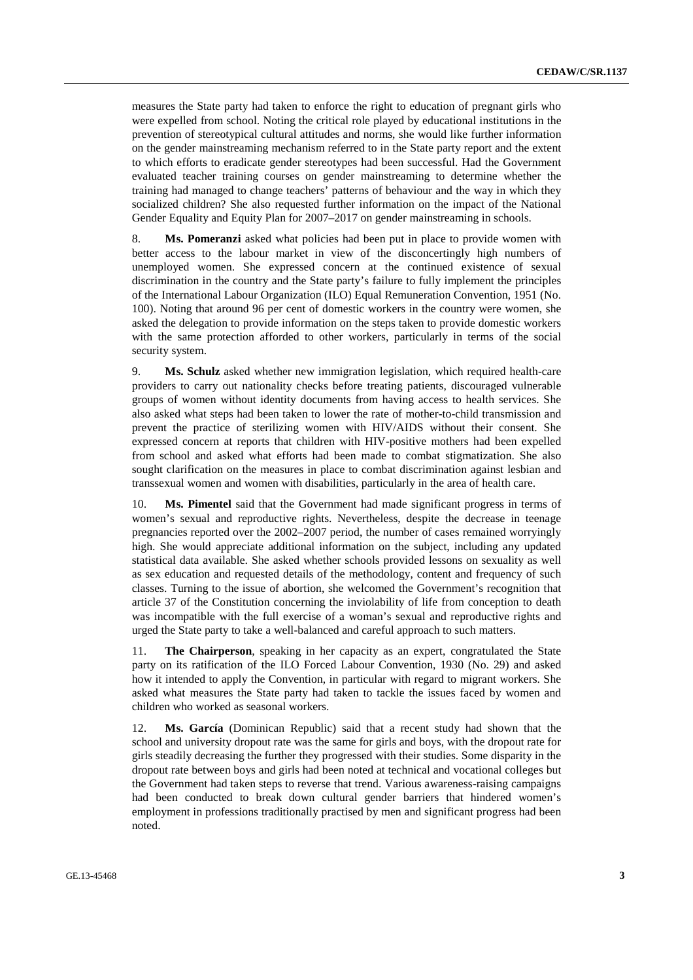measures the State party had taken to enforce the right to education of pregnant girls who were expelled from school. Noting the critical role played by educational institutions in the prevention of stereotypical cultural attitudes and norms, she would like further information on the gender mainstreaming mechanism referred to in the State party report and the extent to which efforts to eradicate gender stereotypes had been successful. Had the Government evaluated teacher training courses on gender mainstreaming to determine whether the training had managed to change teachers' patterns of behaviour and the way in which they socialized children? She also requested further information on the impact of the National Gender Equality and Equity Plan for 2007–2017 on gender mainstreaming in schools.

8. **Ms. Pomeranzi** asked what policies had been put in place to provide women with better access to the labour market in view of the disconcertingly high numbers of unemployed women. She expressed concern at the continued existence of sexual discrimination in the country and the State party's failure to fully implement the principles of the International Labour Organization (ILO) Equal Remuneration Convention, 1951 (No. 100). Noting that around 96 per cent of domestic workers in the country were women, she asked the delegation to provide information on the steps taken to provide domestic workers with the same protection afforded to other workers, particularly in terms of the social security system.

9. **Ms. Schulz** asked whether new immigration legislation, which required health-care providers to carry out nationality checks before treating patients, discouraged vulnerable groups of women without identity documents from having access to health services. She also asked what steps had been taken to lower the rate of mother-to-child transmission and prevent the practice of sterilizing women with HIV/AIDS without their consent. She expressed concern at reports that children with HIV-positive mothers had been expelled from school and asked what efforts had been made to combat stigmatization. She also sought clarification on the measures in place to combat discrimination against lesbian and transsexual women and women with disabilities, particularly in the area of health care.

10. **Ms. Pimentel** said that the Government had made significant progress in terms of women's sexual and reproductive rights. Nevertheless, despite the decrease in teenage pregnancies reported over the 2002–2007 period, the number of cases remained worryingly high. She would appreciate additional information on the subject, including any updated statistical data available. She asked whether schools provided lessons on sexuality as well as sex education and requested details of the methodology, content and frequency of such classes. Turning to the issue of abortion, she welcomed the Government's recognition that article 37 of the Constitution concerning the inviolability of life from conception to death was incompatible with the full exercise of a woman's sexual and reproductive rights and urged the State party to take a well-balanced and careful approach to such matters.

11. **The Chairperson**, speaking in her capacity as an expert, congratulated the State party on its ratification of the ILO Forced Labour Convention, 1930 (No. 29) and asked how it intended to apply the Convention, in particular with regard to migrant workers. She asked what measures the State party had taken to tackle the issues faced by women and children who worked as seasonal workers.

12. **Ms. García** (Dominican Republic) said that a recent study had shown that the school and university dropout rate was the same for girls and boys, with the dropout rate for girls steadily decreasing the further they progressed with their studies. Some disparity in the dropout rate between boys and girls had been noted at technical and vocational colleges but the Government had taken steps to reverse that trend. Various awareness-raising campaigns had been conducted to break down cultural gender barriers that hindered women's employment in professions traditionally practised by men and significant progress had been noted.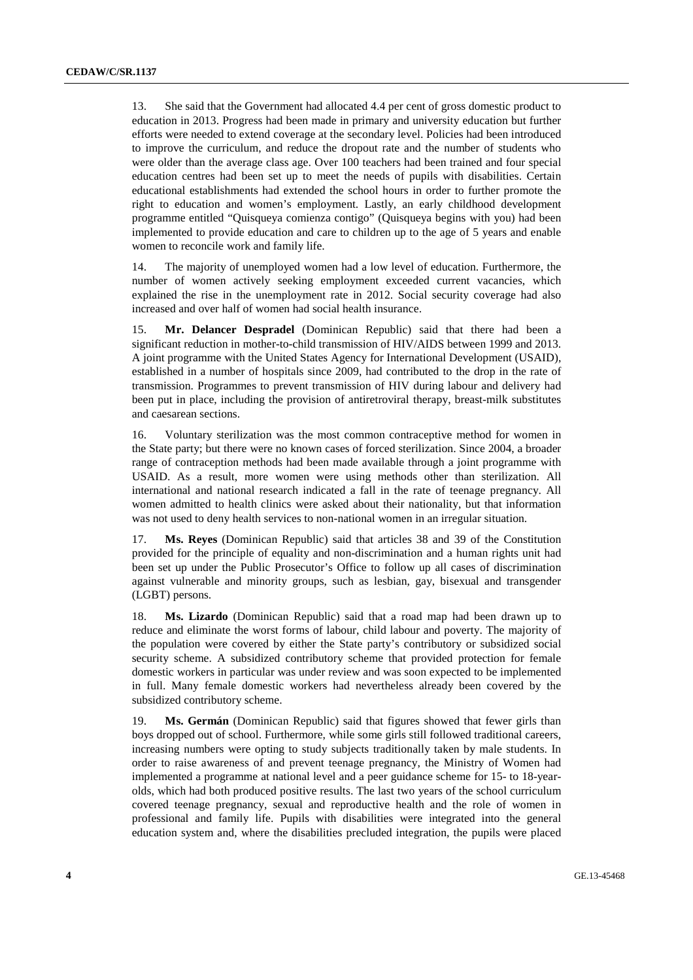13. She said that the Government had allocated 4.4 per cent of gross domestic product to education in 2013. Progress had been made in primary and university education but further efforts were needed to extend coverage at the secondary level. Policies had been introduced to improve the curriculum, and reduce the dropout rate and the number of students who were older than the average class age. Over 100 teachers had been trained and four special education centres had been set up to meet the needs of pupils with disabilities. Certain educational establishments had extended the school hours in order to further promote the right to education and women's employment. Lastly, an early childhood development programme entitled "Quisqueya comienza contigo" (Quisqueya begins with you) had been implemented to provide education and care to children up to the age of 5 years and enable women to reconcile work and family life.

14. The majority of unemployed women had a low level of education. Furthermore, the number of women actively seeking employment exceeded current vacancies, which explained the rise in the unemployment rate in 2012. Social security coverage had also increased and over half of women had social health insurance.

15. **Mr. Delancer Despradel** (Dominican Republic) said that there had been a significant reduction in mother-to-child transmission of HIV/AIDS between 1999 and 2013. A joint programme with the United States Agency for International Development (USAID), established in a number of hospitals since 2009, had contributed to the drop in the rate of transmission. Programmes to prevent transmission of HIV during labour and delivery had been put in place, including the provision of antiretroviral therapy, breast-milk substitutes and caesarean sections.

16. Voluntary sterilization was the most common contraceptive method for women in the State party; but there were no known cases of forced sterilization. Since 2004, a broader range of contraception methods had been made available through a joint programme with USAID. As a result, more women were using methods other than sterilization. All international and national research indicated a fall in the rate of teenage pregnancy. All women admitted to health clinics were asked about their nationality, but that information was not used to deny health services to non-national women in an irregular situation.

17. **Ms. Reyes** (Dominican Republic) said that articles 38 and 39 of the Constitution provided for the principle of equality and non-discrimination and a human rights unit had been set up under the Public Prosecutor's Office to follow up all cases of discrimination against vulnerable and minority groups, such as lesbian, gay, bisexual and transgender (LGBT) persons.

18. **Ms. Lizardo** (Dominican Republic) said that a road map had been drawn up to reduce and eliminate the worst forms of labour, child labour and poverty. The majority of the population were covered by either the State party's contributory or subsidized social security scheme. A subsidized contributory scheme that provided protection for female domestic workers in particular was under review and was soon expected to be implemented in full. Many female domestic workers had nevertheless already been covered by the subsidized contributory scheme.

19. **Ms. Germán** (Dominican Republic) said that figures showed that fewer girls than boys dropped out of school. Furthermore, while some girls still followed traditional careers, increasing numbers were opting to study subjects traditionally taken by male students. In order to raise awareness of and prevent teenage pregnancy, the Ministry of Women had implemented a programme at national level and a peer guidance scheme for 15- to 18-yearolds, which had both produced positive results. The last two years of the school curriculum covered teenage pregnancy, sexual and reproductive health and the role of women in professional and family life. Pupils with disabilities were integrated into the general education system and, where the disabilities precluded integration, the pupils were placed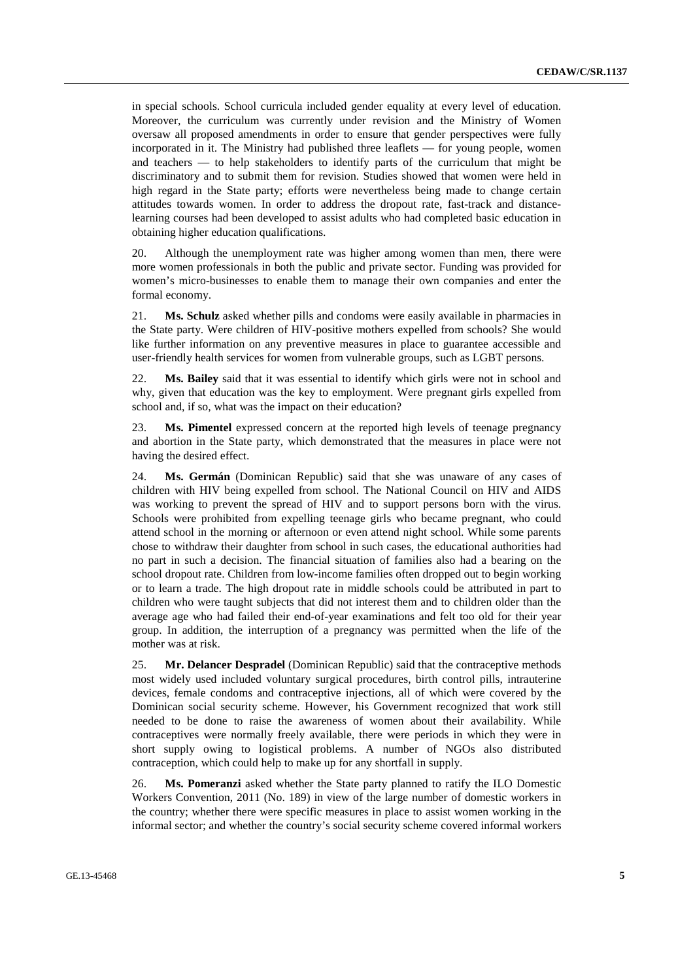in special schools. School curricula included gender equality at every level of education. Moreover, the curriculum was currently under revision and the Ministry of Women oversaw all proposed amendments in order to ensure that gender perspectives were fully incorporated in it. The Ministry had published three leaflets — for young people, women and teachers — to help stakeholders to identify parts of the curriculum that might be discriminatory and to submit them for revision. Studies showed that women were held in high regard in the State party; efforts were nevertheless being made to change certain attitudes towards women. In order to address the dropout rate, fast-track and distancelearning courses had been developed to assist adults who had completed basic education in obtaining higher education qualifications.

20. Although the unemployment rate was higher among women than men, there were more women professionals in both the public and private sector. Funding was provided for women's micro-businesses to enable them to manage their own companies and enter the formal economy.

21. **Ms. Schulz** asked whether pills and condoms were easily available in pharmacies in the State party. Were children of HIV-positive mothers expelled from schools? She would like further information on any preventive measures in place to guarantee accessible and user-friendly health services for women from vulnerable groups, such as LGBT persons.

22. **Ms. Bailey** said that it was essential to identify which girls were not in school and why, given that education was the key to employment. Were pregnant girls expelled from school and, if so, what was the impact on their education?

23. **Ms. Pimentel** expressed concern at the reported high levels of teenage pregnancy and abortion in the State party, which demonstrated that the measures in place were not having the desired effect.

24. **Ms. Germán** (Dominican Republic) said that she was unaware of any cases of children with HIV being expelled from school. The National Council on HIV and AIDS was working to prevent the spread of HIV and to support persons born with the virus. Schools were prohibited from expelling teenage girls who became pregnant, who could attend school in the morning or afternoon or even attend night school. While some parents chose to withdraw their daughter from school in such cases, the educational authorities had no part in such a decision. The financial situation of families also had a bearing on the school dropout rate. Children from low-income families often dropped out to begin working or to learn a trade. The high dropout rate in middle schools could be attributed in part to children who were taught subjects that did not interest them and to children older than the average age who had failed their end-of-year examinations and felt too old for their year group. In addition, the interruption of a pregnancy was permitted when the life of the mother was at risk.

25. **Mr. Delancer Despradel** (Dominican Republic) said that the contraceptive methods most widely used included voluntary surgical procedures, birth control pills, intrauterine devices, female condoms and contraceptive injections, all of which were covered by the Dominican social security scheme. However, his Government recognized that work still needed to be done to raise the awareness of women about their availability. While contraceptives were normally freely available, there were periods in which they were in short supply owing to logistical problems. A number of NGOs also distributed contraception, which could help to make up for any shortfall in supply.

26. **Ms. Pomeranzi** asked whether the State party planned to ratify the ILO Domestic Workers Convention, 2011 (No. 189) in view of the large number of domestic workers in the country; whether there were specific measures in place to assist women working in the informal sector; and whether the country's social security scheme covered informal workers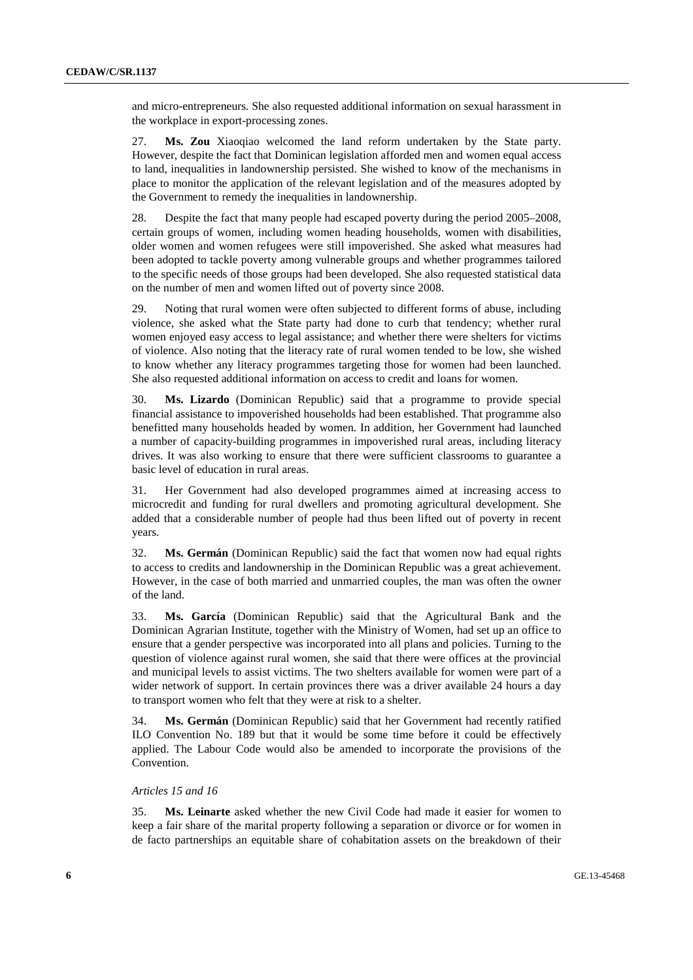and micro-entrepreneurs. She also requested additional information on sexual harassment in the workplace in export-processing zones.

27. **Ms. Zou** Xiaoqiao welcomed the land reform undertaken by the State party. However, despite the fact that Dominican legislation afforded men and women equal access to land, inequalities in landownership persisted. She wished to know of the mechanisms in place to monitor the application of the relevant legislation and of the measures adopted by the Government to remedy the inequalities in landownership.

28. Despite the fact that many people had escaped poverty during the period 2005–2008, certain groups of women, including women heading households, women with disabilities, older women and women refugees were still impoverished. She asked what measures had been adopted to tackle poverty among vulnerable groups and whether programmes tailored to the specific needs of those groups had been developed. She also requested statistical data on the number of men and women lifted out of poverty since 2008.

29. Noting that rural women were often subjected to different forms of abuse, including violence, she asked what the State party had done to curb that tendency; whether rural women enjoyed easy access to legal assistance; and whether there were shelters for victims of violence. Also noting that the literacy rate of rural women tended to be low, she wished to know whether any literacy programmes targeting those for women had been launched. She also requested additional information on access to credit and loans for women.

30. **Ms. Lizardo** (Dominican Republic) said that a programme to provide special financial assistance to impoverished households had been established. That programme also benefitted many households headed by women. In addition, her Government had launched a number of capacity-building programmes in impoverished rural areas, including literacy drives. It was also working to ensure that there were sufficient classrooms to guarantee a basic level of education in rural areas.

31. Her Government had also developed programmes aimed at increasing access to microcredit and funding for rural dwellers and promoting agricultural development. She added that a considerable number of people had thus been lifted out of poverty in recent years.

32. **Ms. Germán** (Dominican Republic) said the fact that women now had equal rights to access to credits and landownership in the Dominican Republic was a great achievement. However, in the case of both married and unmarried couples, the man was often the owner of the land.

33. **Ms. García** (Dominican Republic) said that the Agricultural Bank and the Dominican Agrarian Institute, together with the Ministry of Women, had set up an office to ensure that a gender perspective was incorporated into all plans and policies. Turning to the question of violence against rural women, she said that there were offices at the provincial and municipal levels to assist victims. The two shelters available for women were part of a wider network of support. In certain provinces there was a driver available 24 hours a day to transport women who felt that they were at risk to a shelter.

34. **Ms. Germán** (Dominican Republic) said that her Government had recently ratified ILO Convention No. 189 but that it would be some time before it could be effectively applied. The Labour Code would also be amended to incorporate the provisions of the Convention.

### *Articles 15 and 16*

35. **Ms. Leinarte** asked whether the new Civil Code had made it easier for women to keep a fair share of the marital property following a separation or divorce or for women in de facto partnerships an equitable share of cohabitation assets on the breakdown of their